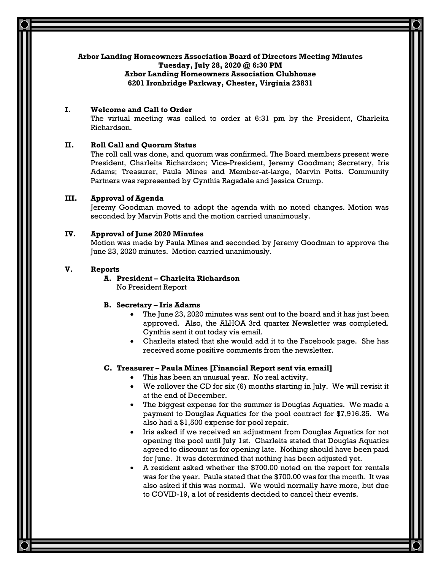# **Arbor Landing Homeowners Association Board of Directors Meeting Minutes**

**Tuesday, July 28, 2020 @ 6:30 PM**

## **Arbor Landing Homeowners Association Clubhouse 6201 Ironbridge Parkway, Chester, Virginia 23831**

# **I. Welcome and Call to Order**

The virtual meeting was called to order at 6:31 pm by the President, Charleita Richardson.

# **II. Roll Call and Quorum Status**

The roll call was done, and quorum was confirmed. The Board members present were President, Charleita Richardson; Vice-President, Jeremy Goodman; Secretary, Iris Adams; Treasurer, Paula Mines and Member-at-large, Marvin Potts. Community Partners was represented by Cynthia Ragsdale and Jessica Crump.

# **III. Approval of Agenda**

Jeremy Goodman moved to adopt the agenda with no noted changes. Motion was seconded by Marvin Potts and the motion carried unanimously.

# **IV. Approval of June 2020 Minutes**

Motion was made by Paula Mines and seconded by Jeremy Goodman to approve the June 23, 2020 minutes. Motion carried unanimously.

# **V. Reports**

# **A. President – Charleita Richardson**

No President Report

# **B. Secretary – Iris Adams**

- The June 23, 2020 minutes was sent out to the board and it has just been approved. Also, the ALHOA 3rd quarter Newsletter was completed. Cynthia sent it out today via email.
- Charleita stated that she would add it to the Facebook page. She has received some positive comments from the newsletter.

# **C. Treasurer – Paula Mines [Financial Report sent via email]**

- This has been an unusual year. No real activity.
- We rollover the CD for six (6) months starting in July. We will revisit it at the end of December.
- The biggest expense for the summer is Douglas Aquatics. We made a payment to Douglas Aquatics for the pool contract for \$7,916.25. We also had a \$1,500 expense for pool repair.
- Iris asked if we received an adjustment from Douglas Aquatics for not opening the pool until July 1st. Charleita stated that Douglas Aquatics agreed to discount us for opening late. Nothing should have been paid for June. It was determined that nothing has been adjusted yet.
- A resident asked whether the \$700.00 noted on the report for rentals was for the year. Paula stated that the \$700.00 was for the month. It was also asked if this was normal. We would normally have more, but due to COVID-19, a lot of residents decided to cancel their events.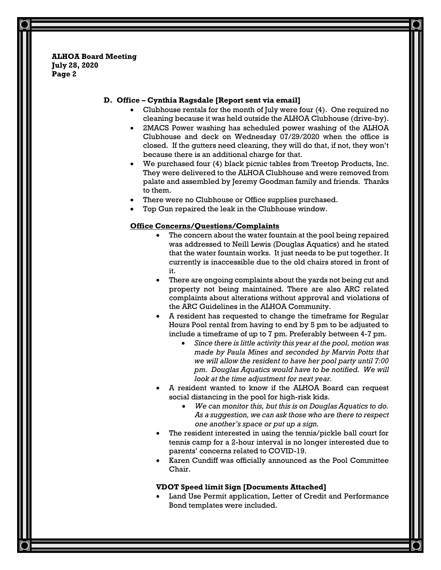## **D. Office – Cynthia Ragsdale [Report sent via email]**

- Clubhouse rentals for the month of July were four (4). One required no cleaning because it was held outside the ALHOA Clubhouse (drive-by).
- 2MACS Power washing has scheduled power washing of the ALHOA Clubhouse and deck on Wednesday 07/29/2020 when the office is closed. If the gutters need cleaning, they will do that, if not, they won't because there is an additional charge for that.
- We purchased four (4) black picnic tables from Treetop Products, Inc. They were delivered to the ALHOA Clubhouse and were removed from palate and assembled by Jeremy Goodman family and friends. Thanks to them.
- There were no Clubhouse or Office supplies purchased.
- Top Gun repaired the leak in the Clubhouse window.

## **Office Concerns/Questions/Complaints**

- The concern about the water fountain at the pool being repaired was addressed to Neill Lewis (Douglas Aquatics) and he stated that the water fountain works. It just needs to be put together. It currently is inaccessible due to the old chairs stored in front of it.
- There are ongoing complaints about the yards not being cut and property not being maintained. There are also ARC related complaints about alterations without approval and violations of the ARC Guidelines in the ALHOA Community.
- A resident has requested to change the timeframe for Regular Hours Pool rental from having to end by 5 pm to be adjusted to include a timeframe of up to 7 pm. Preferably between 4-7 pm.
	- *Since there is little activity this year at the pool, motion was made by Paula Mines and seconded by Marvin Potts that we will allow the resident to have her pool party until 7:00 pm. Douglas Aquatics would have to be notified. We will look at the time adjustment for next year.*
- A resident wanted to know if the ALHOA Board can request social distancing in the pool for high-risk kids.
	- *We can monitor this, but this is on Douglas Aquatics to do. As a suggestion, we can ask those who are there to respect one another's space or put up a sign.*
- The resident interested in using the tennis/pickle ball court for tennis camp for a 2-hour interval is no longer interested due to parents' concerns related to COVID-19.
- Karen Cundiff was officially announced as the Pool Committee Chair.

## **VDOT Speed limit Sign [Documents Attached]**

Land Use Permit application, Letter of Credit and Performance Bond templates were included.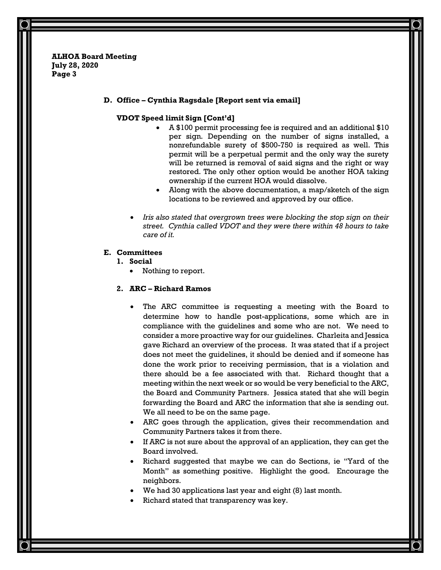#### **D. Office – Cynthia Ragsdale [Report sent via email]**

## **VDOT Speed limit Sign [Cont'd]**

- A \$100 permit processing fee is required and an additional \$10 per sign. Depending on the number of signs installed, a nonrefundable surety of \$500-750 is required as well. This permit will be a perpetual permit and the only way the surety will be returned is removal of said signs and the right or way restored. The only other option would be another HOA taking ownership if the current HOA would dissolve.
- Along with the above documentation, a map/sketch of the sign locations to be reviewed and approved by our office.
- *Iris also stated that overgrown trees were blocking the stop sign on their street. Cynthia called VDOT and they were there within 48 hours to take care of it.*

## **E. Committees**

- **1. Social**
	- Nothing to report.

## **2. ARC – Richard Ramos**

- The ARC committee is requesting a meeting with the Board to determine how to handle post-applications, some which are in compliance with the guidelines and some who are not. We need to consider a more proactive way for our guidelines. Charleita and Jessica gave Richard an overview of the process. It was stated that if a project does not meet the guidelines, it should be denied and if someone has done the work prior to receiving permission, that is a violation and there should be a fee associated with that. Richard thought that a meeting within the next week or so would be very beneficial to the ARC, the Board and Community Partners. Jessica stated that she will begin forwarding the Board and ARC the information that she is sending out. We all need to be on the same page.
- ARC goes through the application, gives their recommendation and Community Partners takes it from there.
- If ARC is not sure about the approval of an application, they can get the Board involved.
- Richard suggested that maybe we can do Sections, ie "Yard of the Month" as something positive. Highlight the good. Encourage the neighbors.
- We had 30 applications last year and eight (8) last month.
- Richard stated that transparency was key.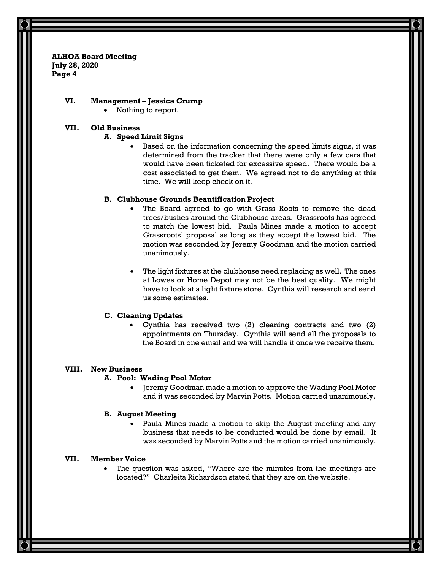## **VI. Management – Jessica Crump**

Nothing to report.

### **VII. Old Business**

#### **A. Speed Limit Signs**

• Based on the information concerning the speed limits signs, it was determined from the tracker that there were only a few cars that would have been ticketed for excessive speed. There would be a cost associated to get them. We agreed not to do anything at this time. We will keep check on it.

#### **B. Clubhouse Grounds Beautification Project**

- The Board agreed to go with Grass Roots to remove the dead trees/bushes around the Clubhouse areas. Grassroots has agreed to match the lowest bid. Paula Mines made a motion to accept Grassroots' proposal as long as they accept the lowest bid. The motion was seconded by Jeremy Goodman and the motion carried unanimously.
- The light fixtures at the clubhouse need replacing as well. The ones at Lowes or Home Depot may not be the best quality. We might have to look at a light fixture store. Cynthia will research and send us some estimates.

### **C. Cleaning Updates**

• Cynthia has received two (2) cleaning contracts and two (2) appointments on Thursday. Cynthia will send all the proposals to the Board in one email and we will handle it once we receive them.

## **VIII. New Business**

#### **A. Pool: Wading Pool Motor**

• Jeremy Goodman made a motion to approve the Wading Pool Motor and it was seconded by Marvin Potts. Motion carried unanimously.

#### **B. August Meeting**

Paula Mines made a motion to skip the August meeting and any business that needs to be conducted would be done by email. It was seconded by Marvin Potts and the motion carried unanimously.

## **VII. Member Voice**

The question was asked, "Where are the minutes from the meetings are located?" Charleita Richardson stated that they are on the website.